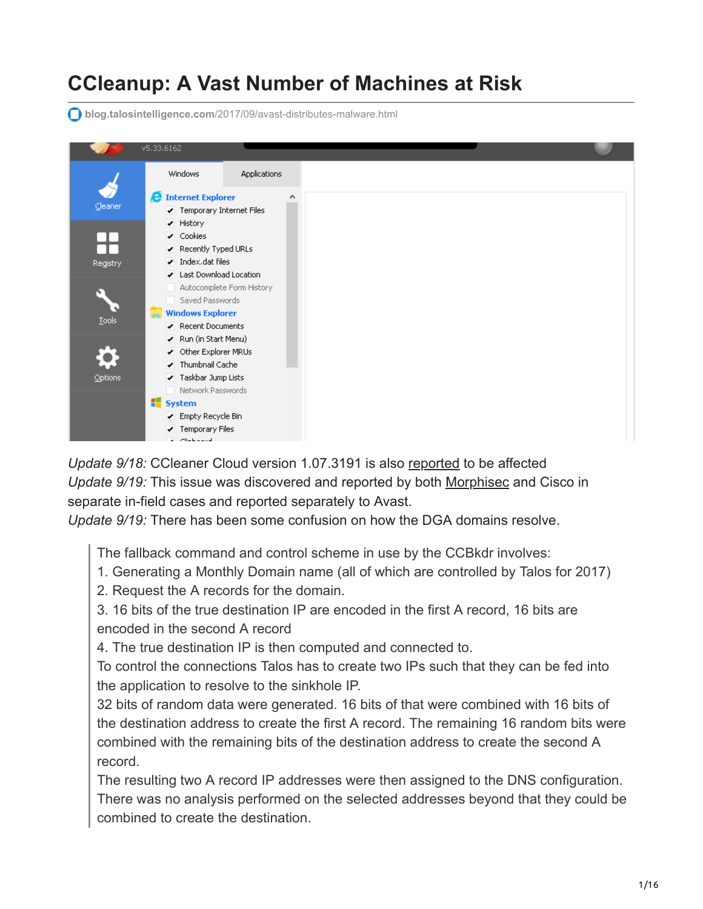# **CCleanup: A Vast Number of Machines at Risk**

**blog.talosintelligence.com**[/2017/09/avast-distributes-malware.html](http://blog.talosintelligence.com/2017/09/avast-distributes-malware.html)

|          | v5.33.6162                                                            |                           |
|----------|-----------------------------------------------------------------------|---------------------------|
|          | <b>Windows</b>                                                        | Applications              |
| Cleaner  | <b>A</b> Internet Explorer<br>✔ Temporary Internet Files<br>✔ History |                           |
|          | ✔ Cookies                                                             |                           |
| Registry | Recently Typed URLs<br>$\blacktriangleright$ Index.dat files          |                           |
|          | Last Download Location                                                | Autocomplete Form History |
| Tools    | Saved Passwords<br><b>Windows Explorer</b>                            |                           |
|          | Recent Documents<br>Run (in Start Menu)                               |                           |
|          | ✔ Other Explorer MRUs<br>Thumbnail Cache                              |                           |
| Options  | ✔ Taskbar Jump Lists<br>Network Passwords                             |                           |
|          | system                                                                |                           |
|          | Empty Recycle Bin<br>Temporary Files<br>$-11 - 11 - 11 - 11$          |                           |

*Update 9/18:* CCleaner Cloud version 1.07.3191 is also [reported](https://www.piriform.com/news/blog/2017/9/18/security-notification-for-ccleaner-v5336162-and-ccleaner-cloud-v1073191-for-32-bit-windows-users) to be affected *Update 9/19:* This issue was discovered and reported by both [Morphisec](http://blog.morphisec.com/morphisec-discovers-ccleaner-backdoor) and Cisco in separate in-field cases and reported separately to Avast.

*Update 9/19:* There has been some confusion on how the DGA domains resolve.

The fallback command and control scheme in use by the CCBkdr involves:

- 1. Generating a Monthly Domain name (all of which are controlled by Talos for 2017)
- 2. Request the A records for the domain.

3. 16 bits of the true destination IP are encoded in the first A record, 16 bits are encoded in the second A record

4. The true destination IP is then computed and connected to.

To control the connections Talos has to create two IPs such that they can be fed into the application to resolve to the sinkhole IP.

32 bits of random data were generated. 16 bits of that were combined with 16 bits of the destination address to create the first A record. The remaining 16 random bits were combined with the remaining bits of the destination address to create the second A record.

The resulting two A record IP addresses were then assigned to the DNS configuration. There was no analysis performed on the selected addresses beyond that they could be combined to create the destination.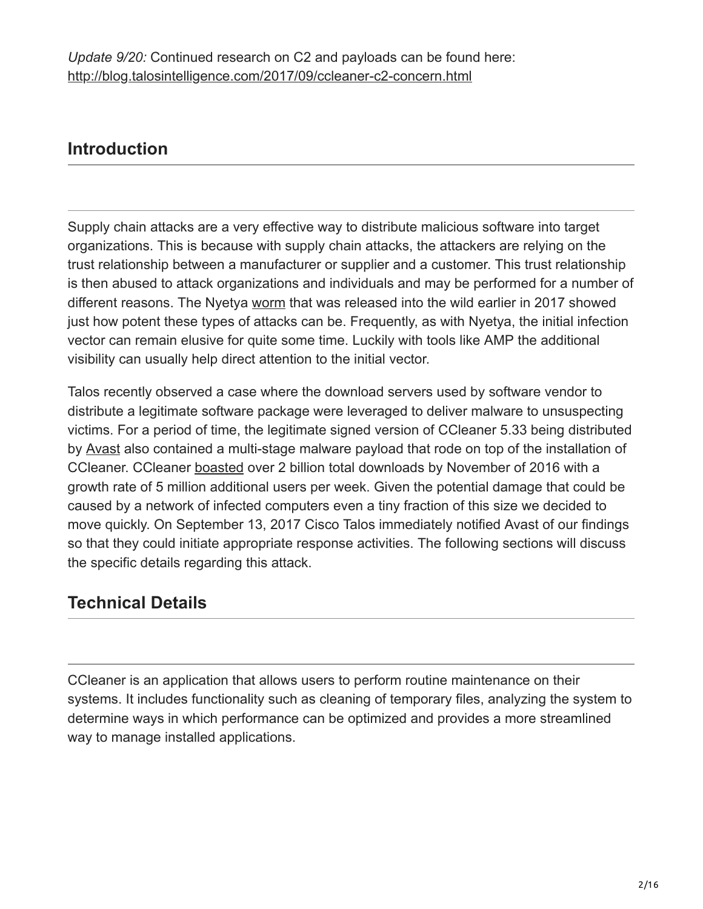## **Introduction**

Supply chain attacks are a very effective way to distribute malicious software into target organizations. This is because with supply chain attacks, the attackers are relying on the trust relationship between a manufacturer or supplier and a customer. This trust relationship is then abused to attack organizations and individuals and may be performed for a number of different reasons. The Nyetya [worm](http://blog.talosintelligence.com/2017/07/the-medoc-connection.html) that was released into the wild earlier in 2017 showed just how potent these types of attacks can be. Frequently, as with Nyetya, the initial infection vector can remain elusive for quite some time. Luckily with tools like AMP the additional visibility can usually help direct attention to the initial vector.

Talos recently observed a case where the download servers used by software vendor to distribute a legitimate software package were leveraged to deliver malware to unsuspecting victims. For a period of time, the legitimate signed version of CCleaner 5.33 being distributed by [Avast](https://blog.avast.com/welcome-piriform-to-avast) also contained a multi-stage malware payload that rode on top of the installation of CCleaner. CCleaner [boasted](https://www.piriform.com/about) over 2 billion total downloads by November of 2016 with a growth rate of 5 million additional users per week. Given the potential damage that could be caused by a network of infected computers even a tiny fraction of this size we decided to move quickly. On September 13, 2017 Cisco Talos immediately notified Avast of our findings so that they could initiate appropriate response activities. The following sections will discuss the specific details regarding this attack.

## **Technical Details**

CCleaner is an application that allows users to perform routine maintenance on their systems. It includes functionality such as cleaning of temporary files, analyzing the system to determine ways in which performance can be optimized and provides a more streamlined way to manage installed applications.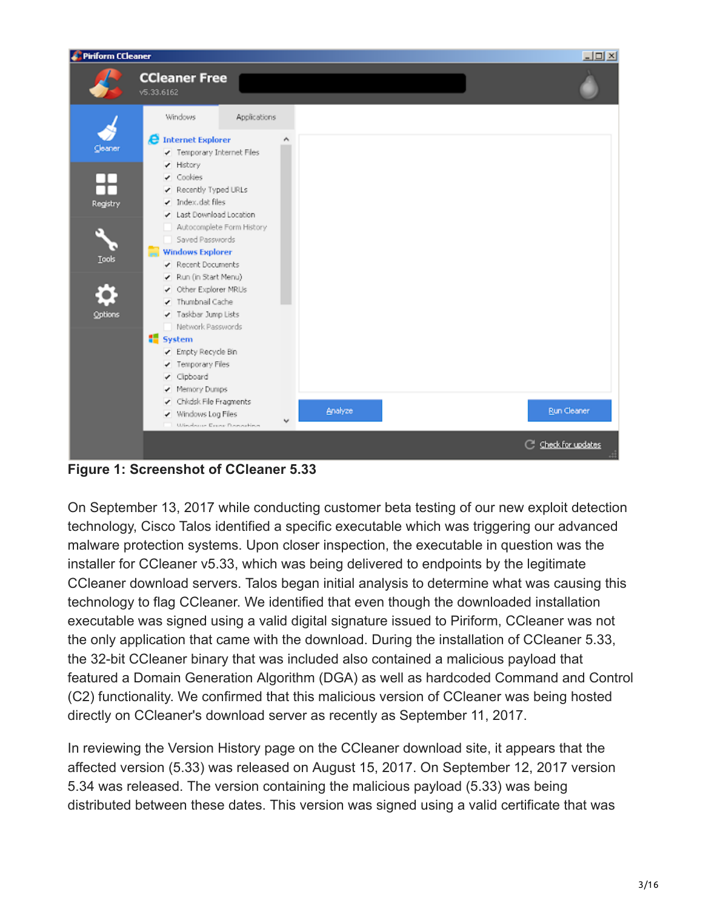| <b>Piriform CCleaner</b> |                                                                                                                                  |         | $\Box$                             |
|--------------------------|----------------------------------------------------------------------------------------------------------------------------------|---------|------------------------------------|
|                          | <b>CCleaner Free</b><br>v5.33.6162                                                                                               |         |                                    |
|                          | Windows<br>Applications                                                                                                          |         |                                    |
| Cleaner<br>╇             | <b>C</b> Internet Explorer<br>Α<br>Temporary Internet Files<br>✔ History<br>$\blacktriangleright$ Cookies<br>Recently Typed URLs |         |                                    |
| Registry                 | $\blacktriangleright$ Index.dat files<br>Last Download Location                                                                  |         |                                    |
| <b>Tools</b>             | Autocomplete Form History<br>Saved Passwords<br><b>Windows Explorer</b><br>÷                                                     |         |                                    |
|                          | Recent Documents<br>Run (in Start Menu)<br>✔ Other Explorer MRUs<br>Thumbnail Cache                                              |         |                                    |
| Options                  | ✔ Taskbar Jump Lists<br>Network Passwords<br>system<br>Empty Recycle Bin                                                         |         |                                    |
|                          | ✔ Temporary Files<br>v Clipboard<br>✔ Memory Dumps<br>✔ Chkdsk File Fragments                                                    |         |                                    |
|                          | V Windows Log Files<br>Windows Revor Danastina                                                                                   | Analyze | Run Cleaner<br>C Check for updates |
|                          |                                                                                                                                  |         |                                    |

**Figure 1: Screenshot of CCleaner 5.33**

On September 13, 2017 while conducting customer beta testing of our new exploit detection technology, Cisco Talos identified a specific executable which was triggering our advanced malware protection systems. Upon closer inspection, the executable in question was the installer for CCleaner v5.33, which was being delivered to endpoints by the legitimate CCleaner download servers. Talos began initial analysis to determine what was causing this technology to flag CCleaner. We identified that even though the downloaded installation executable was signed using a valid digital signature issued to Piriform, CCleaner was not the only application that came with the download. During the installation of CCleaner 5.33, the 32-bit CCleaner binary that was included also contained a malicious payload that featured a Domain Generation Algorithm (DGA) as well as hardcoded Command and Control (C2) functionality. We confirmed that this malicious version of CCleaner was being hosted directly on CCleaner's download server as recently as September 11, 2017.

In reviewing the Version History page on the CCleaner download site, it appears that the affected version (5.33) was released on August 15, 2017. On September 12, 2017 version 5.34 was released. The version containing the malicious payload (5.33) was being distributed between these dates. This version was signed using a valid certificate that was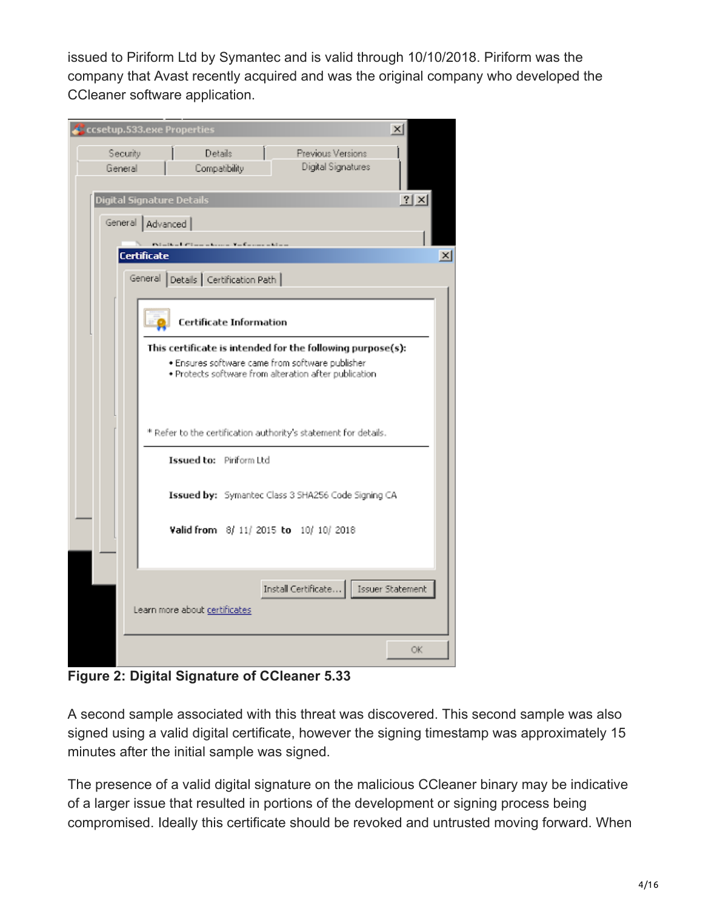issued to Piriform Ltd by Symantec and is valid through 10/10/2018. Piriform was the company that Avast recently acquired and was the original company who developed the CCleaner software application.

| ccsetup.533.exe Properties<br>$\times$                                                                                                                                 |                 |
|------------------------------------------------------------------------------------------------------------------------------------------------------------------------|-----------------|
| Security<br>Details<br>Previous Versions<br>Digital Signatures<br>General<br>Compatibility                                                                             |                 |
| $ ?  \times$<br>Digital Signature Details                                                                                                                              |                 |
| General   Advanced                                                                                                                                                     |                 |
| Night of Circumstance Automobiles<br>Certificate                                                                                                                       | $\vert x \vert$ |
| Details   Certification Path  <br>General                                                                                                                              |                 |
| Certificate Information                                                                                                                                                |                 |
| This certificate is intended for the following purpose(s):<br>· Ensures software came from software publisher<br>· Protects software from alteration after publication |                 |
| * Refer to the certification authority's statement for details.                                                                                                        |                 |
| Issued to: Piriform Ltd                                                                                                                                                |                 |
| Issued by: Symantec Class 3 SHA256 Code Signing CA                                                                                                                     |                 |
| Valid from 8/ 11/ 2015 to 10/ 10/ 2018                                                                                                                                 |                 |
|                                                                                                                                                                        |                 |
| Install Certificate<br>Issuer Statement<br>Learn more about certificates                                                                                               |                 |
| OK                                                                                                                                                                     |                 |

**Figure 2: Digital Signature of CCleaner 5.33**

A second sample associated with this threat was discovered. This second sample was also signed using a valid digital certificate, however the signing timestamp was approximately 15 minutes after the initial sample was signed.

The presence of a valid digital signature on the malicious CCleaner binary may be indicative of a larger issue that resulted in portions of the development or signing process being compromised. Ideally this certificate should be revoked and untrusted moving forward. When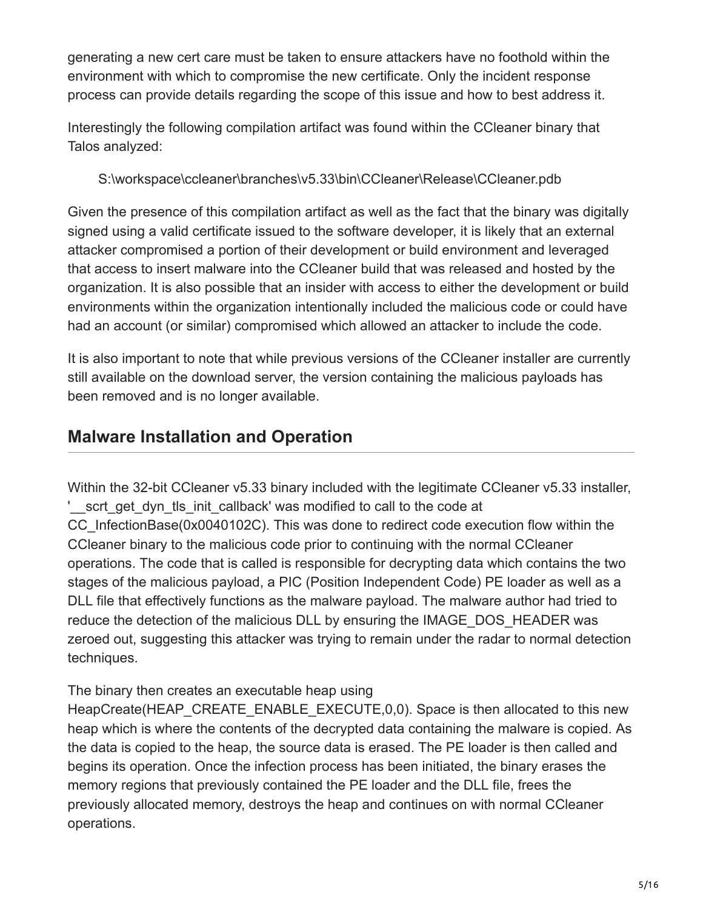generating a new cert care must be taken to ensure attackers have no foothold within the environment with which to compromise the new certificate. Only the incident response process can provide details regarding the scope of this issue and how to best address it.

Interestingly the following compilation artifact was found within the CCleaner binary that Talos analyzed:

S:\workspace\ccleaner\branches\v5.33\bin\CCleaner\Release\CCleaner.pdb

Given the presence of this compilation artifact as well as the fact that the binary was digitally signed using a valid certificate issued to the software developer, it is likely that an external attacker compromised a portion of their development or build environment and leveraged that access to insert malware into the CCleaner build that was released and hosted by the organization. It is also possible that an insider with access to either the development or build environments within the organization intentionally included the malicious code or could have had an account (or similar) compromised which allowed an attacker to include the code.

It is also important to note that while previous versions of the CCleaner installer are currently still available on the download server, the version containing the malicious payloads has been removed and is no longer available.

## **Malware Installation and Operation**

Within the 32-bit CCleaner v5.33 binary included with the legitimate CCleaner v5.33 installer, '\_\_scrt\_get\_dyn\_tls\_init\_callback' was modified to call to the code at CC\_InfectionBase(0x0040102C). This was done to redirect code execution flow within the CCleaner binary to the malicious code prior to continuing with the normal CCleaner operations. The code that is called is responsible for decrypting data which contains the two stages of the malicious payload, a PIC (Position Independent Code) PE loader as well as a DLL file that effectively functions as the malware payload. The malware author had tried to reduce the detection of the malicious DLL by ensuring the IMAGE\_DOS\_HEADER was zeroed out, suggesting this attacker was trying to remain under the radar to normal detection techniques.

The binary then creates an executable heap using

HeapCreate(HEAP\_CREATE\_ENABLE\_EXECUTE,0,0). Space is then allocated to this new heap which is where the contents of the decrypted data containing the malware is copied. As the data is copied to the heap, the source data is erased. The PE loader is then called and begins its operation. Once the infection process has been initiated, the binary erases the memory regions that previously contained the PE loader and the DLL file, frees the previously allocated memory, destroys the heap and continues on with normal CCleaner operations.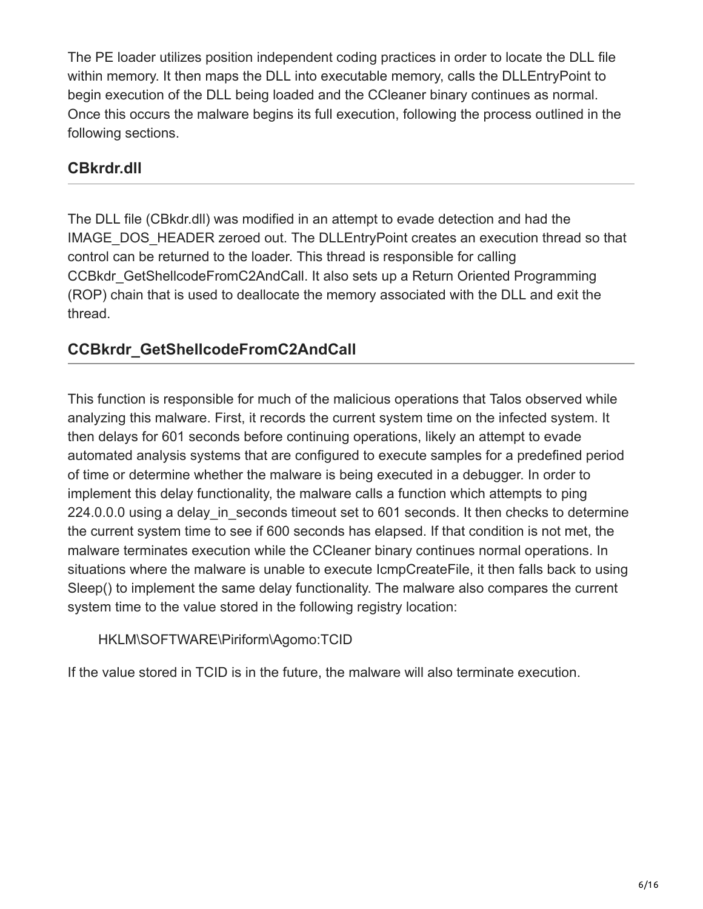The PE loader utilizes position independent coding practices in order to locate the DLL file within memory. It then maps the DLL into executable memory, calls the DLLEntryPoint to begin execution of the DLL being loaded and the CCleaner binary continues as normal. Once this occurs the malware begins its full execution, following the process outlined in the following sections.

### **CBkrdr.dll**

The DLL file (CBkdr.dll) was modified in an attempt to evade detection and had the IMAGE\_DOS\_HEADER zeroed out. The DLLEntryPoint creates an execution thread so that control can be returned to the loader. This thread is responsible for calling CCBkdr\_GetShellcodeFromC2AndCall. It also sets up a Return Oriented Programming (ROP) chain that is used to deallocate the memory associated with the DLL and exit the thread.

### **CCBkrdr\_GetShellcodeFromC2AndCall**

This function is responsible for much of the malicious operations that Talos observed while analyzing this malware. First, it records the current system time on the infected system. It then delays for 601 seconds before continuing operations, likely an attempt to evade automated analysis systems that are configured to execute samples for a predefined period of time or determine whether the malware is being executed in a debugger. In order to implement this delay functionality, the malware calls a function which attempts to ping 224.0.0.0 using a delay in seconds timeout set to 601 seconds. It then checks to determine the current system time to see if 600 seconds has elapsed. If that condition is not met, the malware terminates execution while the CCleaner binary continues normal operations. In situations where the malware is unable to execute IcmpCreateFile, it then falls back to using Sleep() to implement the same delay functionality. The malware also compares the current system time to the value stored in the following registry location:

### HKLM\SOFTWARE\Piriform\Agomo:TCID

If the value stored in TCID is in the future, the malware will also terminate execution.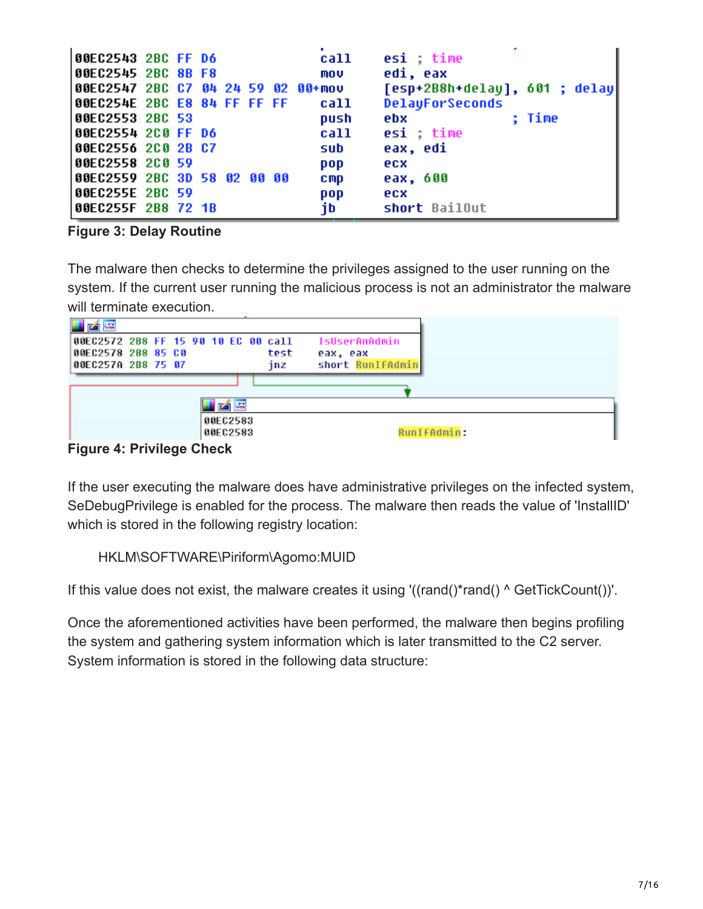| 00EC2543 2BC FF D6                 |  |  |  | call       | esi time                      |
|------------------------------------|--|--|--|------------|-------------------------------|
| 00EC2545 2BC 8B F8                 |  |  |  | mov        | edi, eax                      |
| 00EC2547 2BC C7 04 24 59 02 00+mov |  |  |  |            | [esp+2B8h+delay], 601 ; delay |
| 00EC254E 2BC E8 84 FF FF FF        |  |  |  | call       | <b>DelayForSeconds</b>        |
| 00EC2553 2BC 53                    |  |  |  | push       | : Time<br>ebx                 |
| 00EC2554 2C0 FF D6                 |  |  |  | call       | esi time                      |
| 00EC2556 2C0 2B C7                 |  |  |  | sub        | eax, edi                      |
| 00EC2558 2C0 59                    |  |  |  | pop        | ecx                           |
| 00EC2559 2BC 3D 58 02 00 00        |  |  |  | <b>CMP</b> | eax, 600                      |
| 00EC255E 2BC 59                    |  |  |  | pop        | ecx                           |
| 00EC255F 2B8 72 1B                 |  |  |  | ib.        | short BailOut                 |

#### **Figure 3: Delay Routine**

The malware then checks to determine the privileges assigned to the user running on the system. If the current user running the malicious process is not an administrator the malware will terminate execution.



If the user executing the malware does have administrative privileges on the infected system, SeDebugPrivilege is enabled for the process. The malware then reads the value of 'InstallID' which is stored in the following registry location:

HKLM\SOFTWARE\Piriform\Agomo:MUID

If this value does not exist, the malware creates it using '((rand()\*rand() ^ GetTickCount())'.

Once the aforementioned activities have been performed, the malware then begins profiling the system and gathering system information which is later transmitted to the C2 server. System information is stored in the following data structure: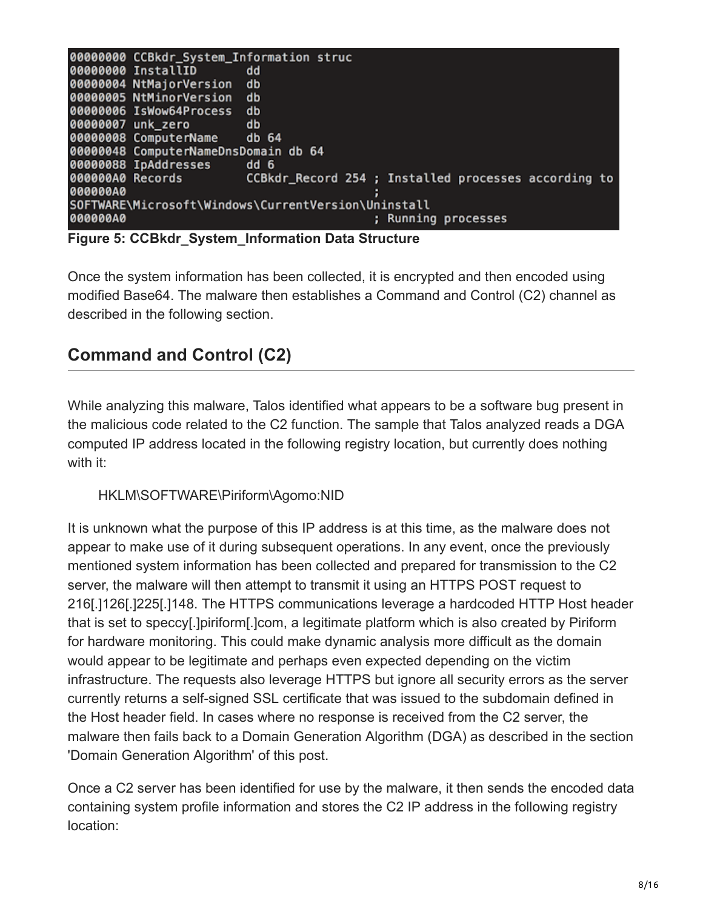

**Figure 5: CCBkdr\_System\_Information Data Structure**

Once the system information has been collected, it is encrypted and then encoded using modified Base64. The malware then establishes a Command and Control (C2) channel as described in the following section.

## **Command and Control (C2)**

While analyzing this malware, Talos identified what appears to be a software bug present in the malicious code related to the C2 function. The sample that Talos analyzed reads a DGA computed IP address located in the following registry location, but currently does nothing with it:

#### HKLM\SOFTWARE\Piriform\Agomo:NID

It is unknown what the purpose of this IP address is at this time, as the malware does not appear to make use of it during subsequent operations. In any event, once the previously mentioned system information has been collected and prepared for transmission to the C2 server, the malware will then attempt to transmit it using an HTTPS POST request to 216[.]126[.]225[.]148. The HTTPS communications leverage a hardcoded HTTP Host header that is set to speccy[.]piriform[.]com, a legitimate platform which is also created by Piriform for hardware monitoring. This could make dynamic analysis more difficult as the domain would appear to be legitimate and perhaps even expected depending on the victim infrastructure. The requests also leverage HTTPS but ignore all security errors as the server currently returns a self-signed SSL certificate that was issued to the subdomain defined in the Host header field. In cases where no response is received from the C2 server, the malware then fails back to a Domain Generation Algorithm (DGA) as described in the section 'Domain Generation Algorithm' of this post.

Once a C2 server has been identified for use by the malware, it then sends the encoded data containing system profile information and stores the C2 IP address in the following registry location: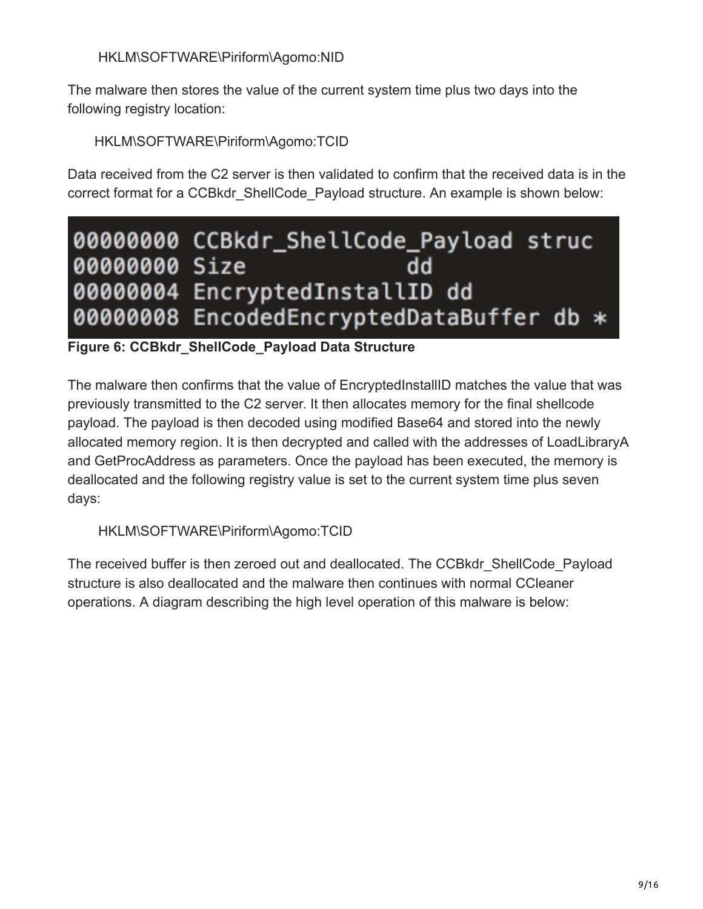### HKLM\SOFTWARE\Piriform\Agomo:NID

The malware then stores the value of the current system time plus two days into the following registry location:

HKLM\SOFTWARE\Piriform\Agomo:TCID

Data received from the C2 server is then validated to confirm that the received data is in the correct format for a CCBkdr ShellCode Payload structure. An example is shown below:



### **Figure 6: CCBkdr\_ShellCode\_Payload Data Structure**

The malware then confirms that the value of EncryptedInstallID matches the value that was previously transmitted to the C2 server. It then allocates memory for the final shellcode payload. The payload is then decoded using modified Base64 and stored into the newly allocated memory region. It is then decrypted and called with the addresses of LoadLibraryA and GetProcAddress as parameters. Once the payload has been executed, the memory is deallocated and the following registry value is set to the current system time plus seven days:

HKLM\SOFTWARE\Piriform\Agomo:TCID

The received buffer is then zeroed out and deallocated. The CCBkdr\_ShellCode\_Payload structure is also deallocated and the malware then continues with normal CCleaner operations. A diagram describing the high level operation of this malware is below: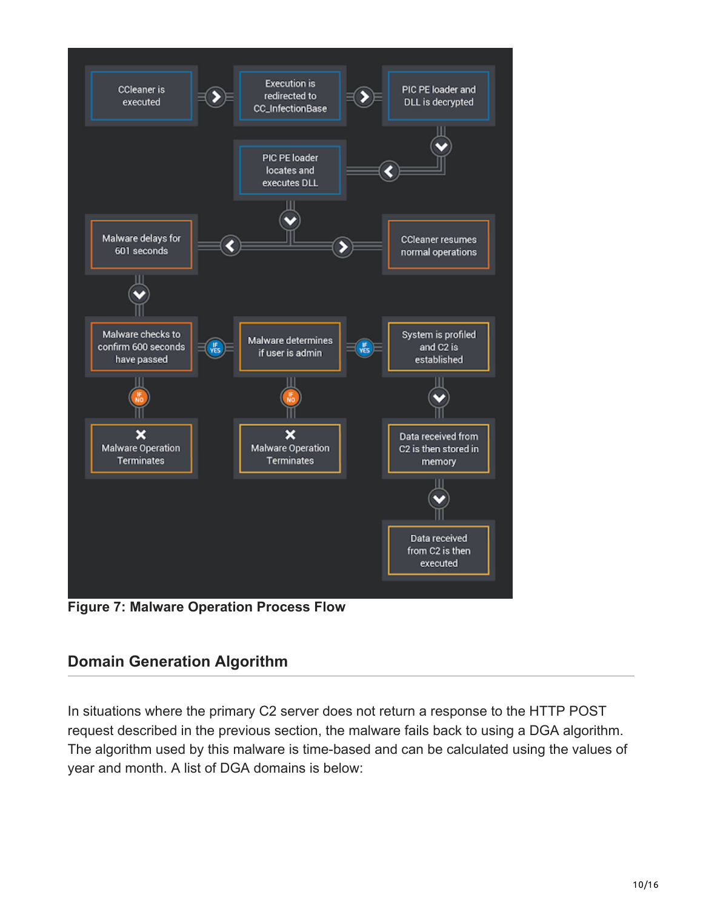

**Figure 7: Malware Operation Process Flow**

### **Domain Generation Algorithm**

In situations where the primary C2 server does not return a response to the HTTP POST request described in the previous section, the malware fails back to using a DGA algorithm. The algorithm used by this malware is time-based and can be calculated using the values of year and month. A list of DGA domains is below: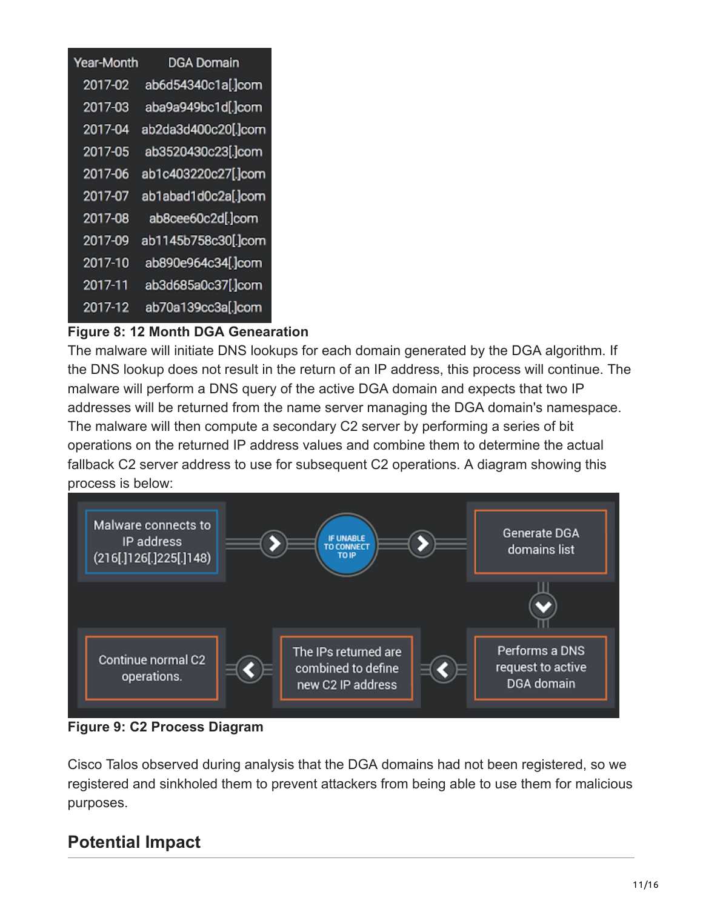| <b>DGA Domain</b>   |
|---------------------|
| ab6d54340c1a[.]com  |
| aba9a949bc1d[.]com  |
| ab2da3d400c20[.]com |
| ab3520430c23[.]com  |
| ab1c403220c27[.]com |
| ab1abad1d0c2a[.]com |
| ab8cee60c2d[.]com   |
| ab1145b758c30[.]com |
| ab890e964c34[.]com  |
| ab3d685a0c37[.]com  |
| ab70a139cc3a[.]com  |
|                     |

### **Figure 8: 12 Month DGA Genearation**

The malware will initiate DNS lookups for each domain generated by the DGA algorithm. If the DNS lookup does not result in the return of an IP address, this process will continue. The malware will perform a DNS query of the active DGA domain and expects that two IP addresses will be returned from the name server managing the DGA domain's namespace. The malware will then compute a secondary C2 server by performing a series of bit operations on the returned IP address values and combine them to determine the actual fallback C2 server address to use for subsequent C2 operations. A diagram showing this process is below:



**Figure 9: C2 Process Diagram**

Cisco Talos observed during analysis that the DGA domains had not been registered, so we registered and sinkholed them to prevent attackers from being able to use them for malicious purposes.

## **Potential Impact**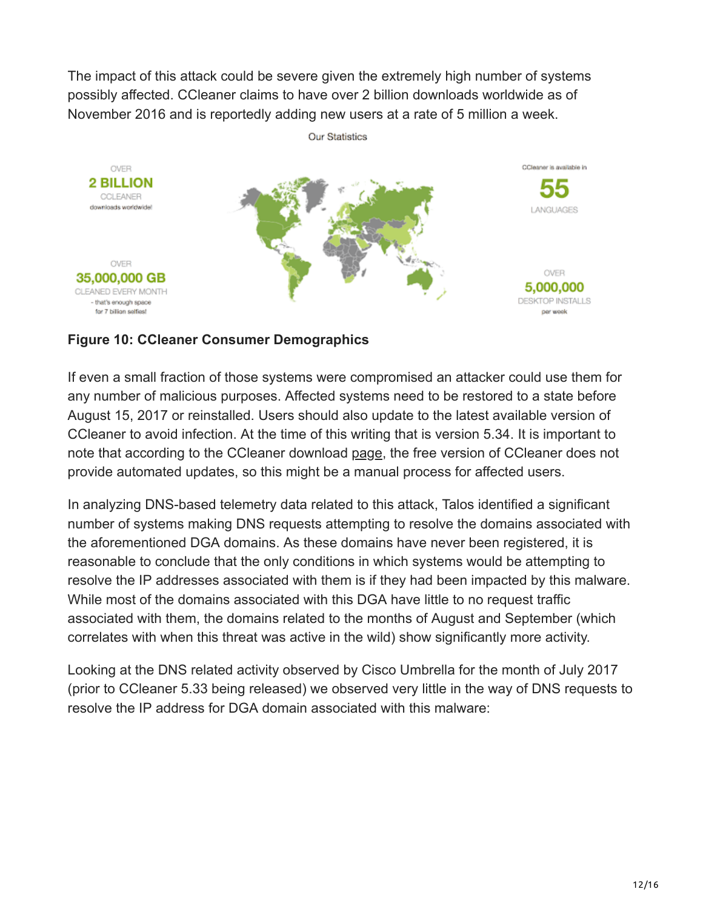The impact of this attack could be severe given the extremely high number of systems possibly affected. CCleaner claims to have over 2 billion downloads worldwide as of November 2016 and is reportedly adding new users at a rate of 5 million a week.



### **Figure 10: CCleaner Consumer Demographics**

If even a small fraction of those systems were compromised an attacker could use them for any number of malicious purposes. Affected systems need to be restored to a state before August 15, 2017 or reinstalled. Users should also update to the latest available version of CCleaner to avoid infection. At the time of this writing that is version 5.34. It is important to note that according to the CCleaner download [page](https://www.piriform.com/ccleaner/download), the free version of CCleaner does not provide automated updates, so this might be a manual process for affected users.

In analyzing DNS-based telemetry data related to this attack, Talos identified a significant number of systems making DNS requests attempting to resolve the domains associated with the aforementioned DGA domains. As these domains have never been registered, it is reasonable to conclude that the only conditions in which systems would be attempting to resolve the IP addresses associated with them is if they had been impacted by this malware. While most of the domains associated with this DGA have little to no request traffic associated with them, the domains related to the months of August and September (which correlates with when this threat was active in the wild) show significantly more activity.

Looking at the DNS related activity observed by Cisco Umbrella for the month of July 2017 (prior to CCleaner 5.33 being released) we observed very little in the way of DNS requests to resolve the IP address for DGA domain associated with this malware: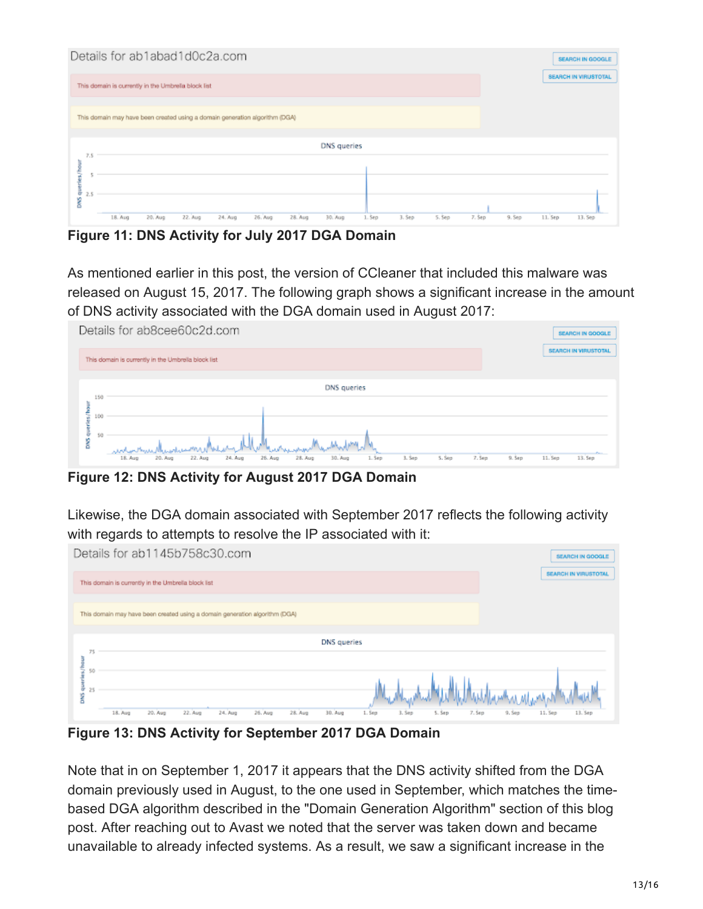| Details for ab1abad1d0c2a.com |                                                                             |          |         |         |         |         |             |       |        |        |        |        | <b>SEARCH IN GOOGLE</b> |                             |
|-------------------------------|-----------------------------------------------------------------------------|----------|---------|---------|---------|---------|-------------|-------|--------|--------|--------|--------|-------------------------|-----------------------------|
|                               | This domain is currently in the Umbrella block list                         |          |         |         |         |         |             |       |        |        |        |        |                         | <b>SEARCH IN VIRUSTOTAL</b> |
|                               | This domain may have been created using a domain generation algorithm (DGA) |          |         |         |         |         |             |       |        |        |        |        |                         |                             |
| 7.5                           |                                                                             |          |         |         |         |         | DNS queries |       |        |        |        |        |                         |                             |
| 5                             |                                                                             |          |         |         |         |         |             |       |        |        |        |        |                         |                             |
| ō<br>2.5<br>SW0               | 18. Aug                                                                     | 20. Aug. | 22. Aug | 24. Aug | 26. Aug | 28. Aug | 30. Aug     | 1.5ep | 3. Sep | 5. Sep | 7. Sep | 9. Sep | 11. Sep                 | 13. Sep                     |

**Figure 11: DNS Activity for July 2017 DGA Domain**

As mentioned earlier in this post, the version of CCleaner that included this malware was released on August 15, 2017. The following graph shows a significant increase in the amount of DNS activity associated with the DGA domain used in August 2017:

|                 |     | Details for ab8cee60c2d.com                                                                                                         | <b>SEARCH IN GOOGLE</b>                                   |
|-----------------|-----|-------------------------------------------------------------------------------------------------------------------------------------|-----------------------------------------------------------|
|                 |     | This domain is currently in the Umbrella block list                                                                                 | <b>SEARCH IN VIRUSTOTAL</b>                               |
|                 | 150 | DNS queries                                                                                                                         |                                                           |
| ā<br>÷,         | 100 |                                                                                                                                     |                                                           |
| õ<br><b>SWO</b> | 50  | مغنىطلس الجزنير<br>3. Sep<br>24. Aug<br>30. Aug<br>7. Sep<br>22. Aug<br>26. Aug<br>28. Aug<br>5. Sep<br>18. Aug<br>20. Aug<br>1.5ep | $\mathcal{L}_{\text{max}}$<br>9.5ep<br>11. Sep<br>13. Sep |

**Figure 12: DNS Activity for August 2017 DGA Domain**

Likewise, the DGA domain associated with September 2017 reflects the following activity with regards to attempts to resolve the IP associated with it:

|                           | Details for ab1145b758c30.com                                                                            | SEARCH IN GOOGLE                         |
|---------------------------|----------------------------------------------------------------------------------------------------------|------------------------------------------|
|                           | This domain is currently in the Umbrelia block list                                                      | <b>SEARCH IN VIRUSTOTAL</b>              |
|                           | This domain may have been created using a domain generation algorithm (DGA)                              |                                          |
| 75                        | DNS queries                                                                                              |                                          |
| 킁<br>50<br>÷<br>25<br>DNS | 20. Aug<br>26. Aug<br>28. Aug<br>30. Aug<br>$22.$ Aug<br>24. Aug<br>18. Aug<br>3. Sep<br>S. Sep<br>1.5ep | 13. Sep<br>7. Sep<br>$9.$ Sep<br>11. Sep |

**Figure 13: DNS Activity for September 2017 DGA Domain**

Note that in on September 1, 2017 it appears that the DNS activity shifted from the DGA domain previously used in August, to the one used in September, which matches the timebased DGA algorithm described in the "Domain Generation Algorithm" section of this blog post. After reaching out to Avast we noted that the server was taken down and became unavailable to already infected systems. As a result, we saw a significant increase in the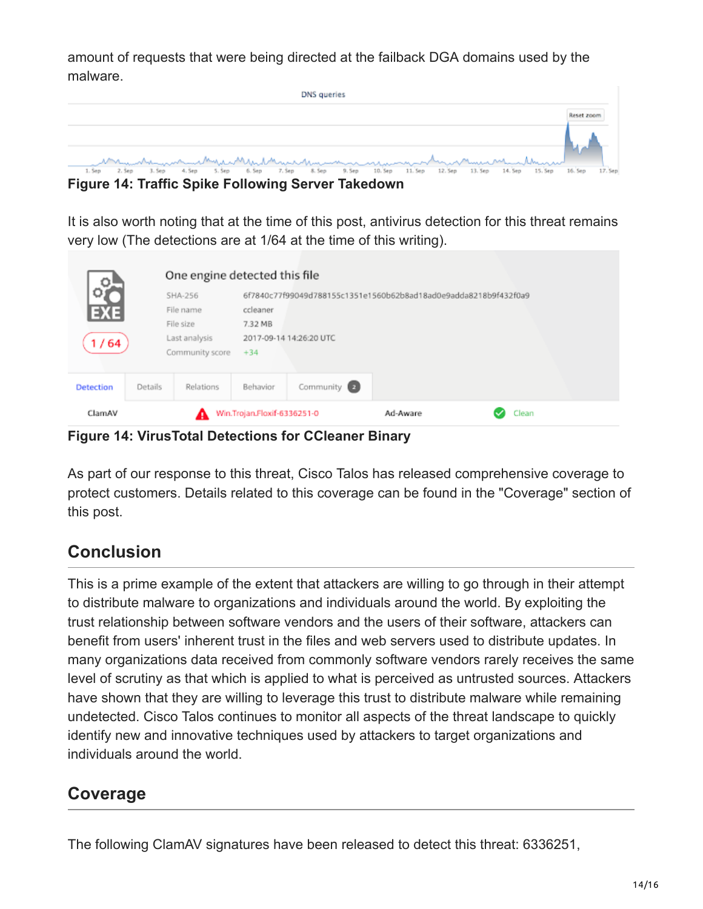amount of requests that were being directed at the failback DGA domains used by the malware.

| DNS queries                                                                                                                                                                                                                   |  |
|-------------------------------------------------------------------------------------------------------------------------------------------------------------------------------------------------------------------------------|--|
|                                                                                                                                                                                                                               |  |
|                                                                                                                                                                                                                               |  |
| 1.500 2.500 3.500 4.500 4.500 4.500 4.500 4.500 4.500 4.500 4.500 4.500 4.500 4.500 4.500 4.500 4.500 4.500 4.500 4.500 4.500 4.500 4.500 4.500 4.500 4.500 4.500 4.500 4.500 4.500 4.500 4.500 4.500 4.500 4.500 4.500 4.500 |  |
| 2. Sep 3. Sep 4. Sep 5. Sep 6. Sep 7. Sep 8. Sep 9. Sep 10. Sep 11. Sep 12. Sep 13. Sep 14. Sep 16. Sep 17. Sep<br>1. Sep                                                                                                     |  |

**Figure 14: Traffic Spike Following Server Takedown**

It is also worth noting that at the time of this post, antivirus detection for this threat remains very low (The detections are at 1/64 at the time of this writing).

| ್ಲಲ್ಲಿ           |         | One engine detected this file                 |                                                                              |                                             |          |       |  |  |  |  |  |
|------------------|---------|-----------------------------------------------|------------------------------------------------------------------------------|---------------------------------------------|----------|-------|--|--|--|--|--|
| ΩŤ<br>EXE        |         | SHA-256<br>File name                          | 6f7840c77f99049d788155c1351e1560b62b8ad18ad0e9adda8218b9f432f0a9<br>ccleaner |                                             |          |       |  |  |  |  |  |
| 1/64             |         | File size<br>Last analysis<br>Community score |                                                                              | 7.32 MB<br>2017-09-14 14:26:20 UTC<br>$+34$ |          |       |  |  |  |  |  |
| <b>Detection</b> | Details | Relations                                     | Behavior                                                                     | Community <sup>2</sup>                      |          |       |  |  |  |  |  |
| ClamAV           |         | А                                             | Win.Trojan.Floxif-6336251-0                                                  |                                             | Ad-Aware | Clean |  |  |  |  |  |

**Figure 14: VirusTotal Detections for CCleaner Binary**

As part of our response to this threat, Cisco Talos has released comprehensive coverage to protect customers. Details related to this coverage can be found in the "Coverage" section of this post.

## **Conclusion**

This is a prime example of the extent that attackers are willing to go through in their attempt to distribute malware to organizations and individuals around the world. By exploiting the trust relationship between software vendors and the users of their software, attackers can benefit from users' inherent trust in the files and web servers used to distribute updates. In many organizations data received from commonly software vendors rarely receives the same level of scrutiny as that which is applied to what is perceived as untrusted sources. Attackers have shown that they are willing to leverage this trust to distribute malware while remaining undetected. Cisco Talos continues to monitor all aspects of the threat landscape to quickly identify new and innovative techniques used by attackers to target organizations and individuals around the world.

## **Coverage**

The following ClamAV signatures have been released to detect this threat: 6336251,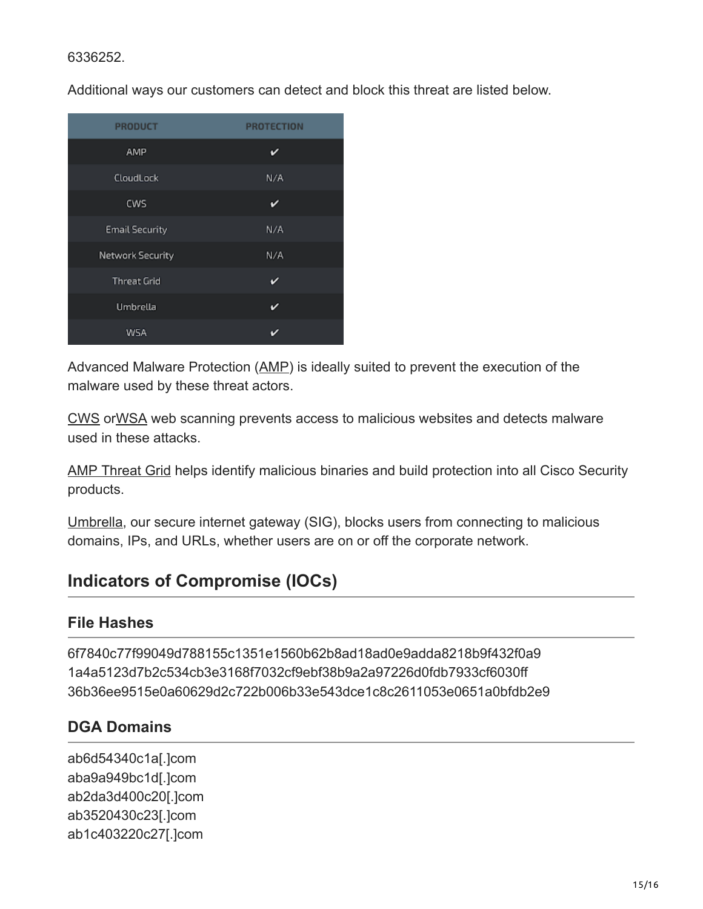#### 6336252.

Additional ways our customers can detect and block this threat are listed below.

| <b>PRODUCT</b>          | <b>PROTECTION</b> |
|-------------------------|-------------------|
| AMP                     | v                 |
| CloudLock               | N/A               |
| CWS                     | v                 |
| <b>Email Security</b>   | N/A               |
| <b>Network Security</b> | N/A               |
| <b>Threat Grid</b>      | v                 |
| Umbrella                | v                 |
| WSA                     | v                 |

Advanced Malware Protection ([AMP\)](https://www.cisco.com/c/en/us/products/security/advanced-malware-protection) is ideally suited to prevent the execution of the malware used by these threat actors.

[CWS](https://www.cisco.com/c/en/us/products/security/cloud-web-security/index.html) or[WSA](https://www.cisco.com/c/en/us/products/security/web-security-appliance/index.html) web scanning prevents access to malicious websites and detects malware used in these attacks.

[AMP Threat Grid](https://www.cisco.com/c/en/us/solutions/enterprise-networks/amp-threat-grid/index.html) helps identify malicious binaries and build protection into all Cisco Security products.

[Umbrella](https://umbrella.cisco.com/), our secure internet gateway (SIG), blocks users from connecting to malicious domains, IPs, and URLs, whether users are on or off the corporate network.

## **Indicators of Compromise (IOCs)**

### **File Hashes**

6f7840c77f99049d788155c1351e1560b62b8ad18ad0e9adda8218b9f432f0a9 1a4a5123d7b2c534cb3e3168f7032cf9ebf38b9a2a97226d0fdb7933cf6030ff 36b36ee9515e0a60629d2c722b006b33e543dce1c8c2611053e0651a0bfdb2e9

### **DGA Domains**

ab6d54340c1a[.]com aba9a949bc1d[.]com ab2da3d400c20[.]com ab3520430c23[.]com ab1c403220c27[.]com